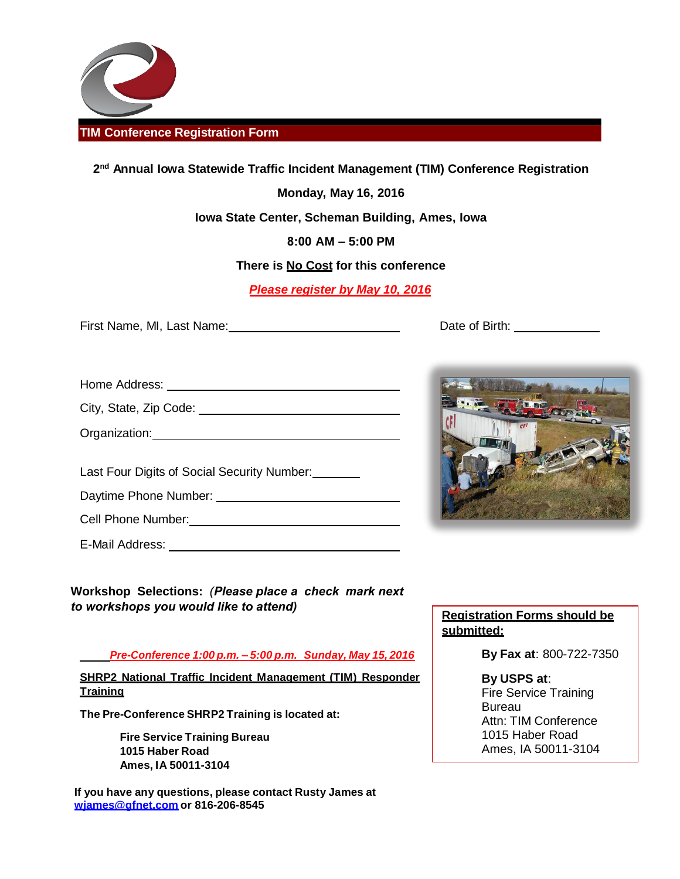

# **2 nd Annual Iowa Statewide Traffic Incident Management (TIM) Conference Registration**

**Monday, May 16, 2016**

**Iowa State Center, Scheman Building, Ames, Iowa**

**8:00 AM – 5:00 PM**

**There is No Cost for this conference**

*Please register by May 10, 2016*

First Name, MI, Last Name: The Contract of Birth: Date of Birth:

City, State, Zip Code:

Organization:

Last Four Digits of Social Security Number:

Daytime Phone Number:

Cell Phone Number:

E-Mail Address: Universe and Address and Address and Address and Address and Address and Address and Address and Address and Address and Address and Address and Address and Address and Address and Address and Address and A

**Workshop Selections:** *(Please place a check mark next to workshops you would like to attend)*

*Pre-Conference 1:00 p.m. – 5:00 p.m. Sunday, May 15, 2016*

**SHRP2 National Traffic Incident Management (TIM) Responder Training**

**The Pre-Conference SHRP2 Training is located at:** 

**Fire Service Training Bureau 1015 Haber Road Ames, IA 50011-3104**

**If you have any questions, please contact Rusty James at [wjames@gfnet.com o](mailto:wjames@gfnet.com)r 816-206-8545**



## **Registration Forms should be submitted:**

**By Fax at**: 800-722-7350

**By USPS at**: Fire Service Training **Bureau** Attn: TIM Conference 1015 Haber Road Ames, IA 50011-3104